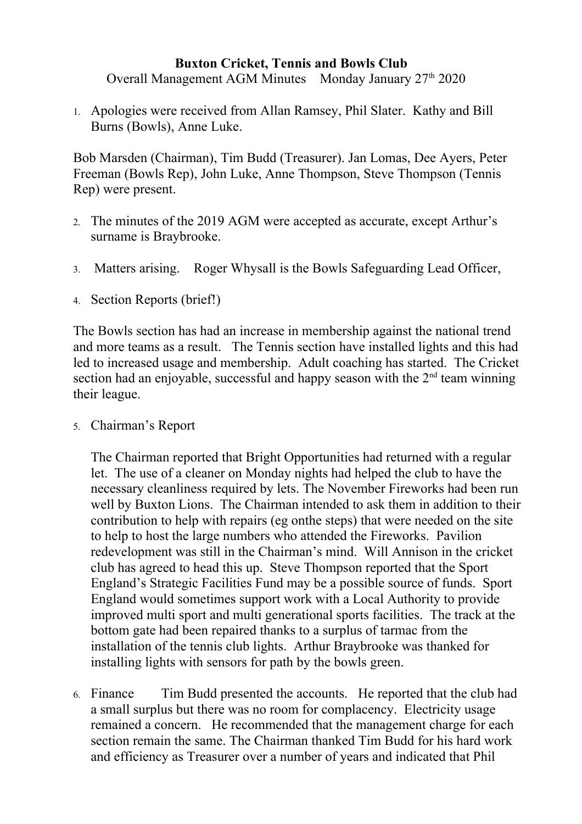## **Buxton Cricket, Tennis and Bowls Club**

Overall Management AGM Minutes Monday January 27<sup>th</sup> 2020

1. Apologies were received from Allan Ramsey, Phil Slater. Kathy and Bill Burns (Bowls), Anne Luke.

Bob Marsden (Chairman), Tim Budd (Treasurer). Jan Lomas, Dee Ayers, Peter Freeman (Bowls Rep), John Luke, Anne Thompson, Steve Thompson (Tennis Rep) were present.

- 2. The minutes of the 2019 AGM were accepted as accurate, except Arthur's surname is Braybrooke.
- 3. Matters arising. Roger Whysall is the Bowls Safeguarding Lead Officer,
- 4. Section Reports (brief!)

The Bowls section has had an increase in membership against the national trend and more teams as a result. The Tennis section have installed lights and this had led to increased usage and membership. Adult coaching has started. The Cricket section had an enjoyable, successful and happy season with the  $2<sup>nd</sup>$  team winning their league.

5. Chairman's Report

The Chairman reported that Bright Opportunities had returned with a regular let. The use of a cleaner on Monday nights had helped the club to have the necessary cleanliness required by lets. The November Fireworks had been run well by Buxton Lions. The Chairman intended to ask them in addition to their contribution to help with repairs (eg onthe steps) that were needed on the site to help to host the large numbers who attended the Fireworks. Pavilion redevelopment was still in the Chairman's mind. Will Annison in the cricket club has agreed to head this up. Steve Thompson reported that the Sport England's Strategic Facilities Fund may be a possible source of funds. Sport England would sometimes support work with a Local Authority to provide improved multi sport and multi generational sports facilities. The track at the bottom gate had been repaired thanks to a surplus of tarmac from the installation of the tennis club lights. Arthur Braybrooke was thanked for installing lights with sensors for path by the bowls green.

6. Finance Tim Budd presented the accounts. He reported that the club had a small surplus but there was no room for complacency. Electricity usage remained a concern. He recommended that the management charge for each section remain the same. The Chairman thanked Tim Budd for his hard work and efficiency as Treasurer over a number of years and indicated that Phil